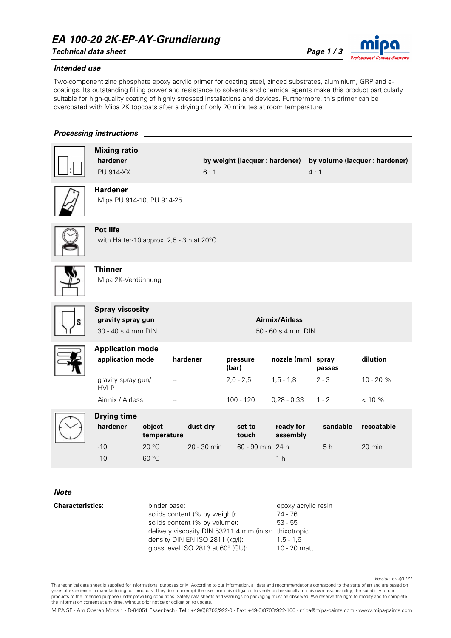### *EA 100-20 2K-EP-AY-Grundierung*

*Technical data sheet Page 1 / 3*



#### *Intended use*

Two-component zinc phosphate epoxy acrylic primer for coating steel, zinced substrates, aluminium, GRP and ecoatings. Its outstanding filling power and resistance to solvents and chemical agents make this product particularly suitable for high-quality coating of highly stressed installations and devices. Furthermore, this primer can be overcoated with Mipa 2K topcoats after a drying of only 20 minutes at room temperature.

### *Processing instructions*

|             | <b>Mixing ratio</b><br>hardener<br><b>PU 914-XX</b>               |                                         | 6:1                     |                                             |                                         | by weight (lacquer : hardener) by volume (lacquer : hardener)<br>4:1 |                      |  |
|-------------|-------------------------------------------------------------------|-----------------------------------------|-------------------------|---------------------------------------------|-----------------------------------------|----------------------------------------------------------------------|----------------------|--|
|             | <b>Hardener</b><br>Mipa PU 914-10, PU 914-25                      |                                         |                         |                                             |                                         |                                                                      |                      |  |
|             | Pot life<br>with Härter-10 approx. 2,5 - 3 h at 20°C              |                                         |                         |                                             |                                         |                                                                      |                      |  |
|             | <b>Thinner</b><br>Mipa 2K-Verdünnung                              |                                         |                         |                                             |                                         |                                                                      |                      |  |
|             | <b>Spray viscosity</b><br>gravity spray gun<br>30 - 40 s 4 mm DIN |                                         |                         | <b>Airmix/Airless</b><br>50 - 60 s 4 mm DIN |                                         |                                                                      |                      |  |
|             | <b>Application mode</b><br>application mode                       |                                         | hardener                | pressure<br>(bar)                           | nozzle (mm) spray                       | passes                                                               | dilution             |  |
|             | gravity spray gun/<br><b>HVLP</b>                                 |                                         |                         | $2,0 - 2,5$                                 | $1, 5 - 1, 8$                           | $2 - 3$                                                              | 10 - 20 %            |  |
|             | Airmix / Airless                                                  |                                         |                         | $100 - 120$                                 | $0,28 - 0,33$                           | $1 - 2$                                                              | < 10 %               |  |
|             | <b>Drying time</b><br>hardener<br>$-10$<br>$-10$                  | object<br>temperature<br>20 °C<br>60 °C | dust dry<br>20 - 30 min | set to<br>touch<br>60 - 90 min 24 h         | ready for<br>assembly<br>1 <sub>h</sub> | sandable<br>5 h                                                      | recoatable<br>20 min |  |
| <b>Note</b> |                                                                   |                                         |                         |                                             |                                         |                                                                      |                      |  |

**Characteristics:** binder base:

solids content (% by weight): solids content (% by volume): delivery viscosity DIN 53211 4 mm (in s): thixotropic density DIN EN ISO 2811 (kg/l): gloss level ISO 2813 at 60° (GU): 74 - 76 53 - 55 1,5 - 1,6 10 - 20 matt

epoxy acrylic resin

*Version: en 4/1121*

This technical data sheet is supplied for informational purposes only! According to our information, all data and recommendations correspond to the state of art and are based on years of experience in manufacturing our products. They do not exempt the user from his obligation to verify professionally, on his own responsibility, the suitability of our products to the intended purpose under prevailing conditions. Safety data sheets and warnings on packaging must be observed. We reserve the right to modify and to complete the information content at any time, without prior notice or obligation to update.

MIPA SE · Am Oberen Moos 1 · D-84051 Essenbach · Tel.: +49(0)8703/922-0 · Fax: +49(0)8703/922-100 · mipa@mipa-paints.com · www.mipa-paints.com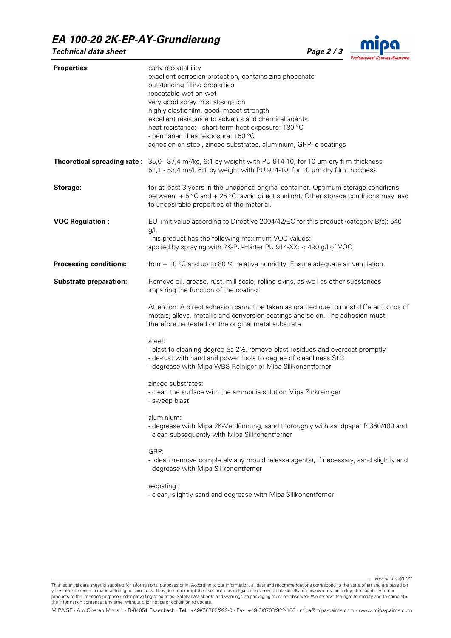# *EA 100-20 2K-EP-AY-Grundierung*





| <b>Properties:</b>            | early recoatability<br>excellent corrosion protection, contains zinc phosphate<br>outstanding filling properties<br>recoatable wet-on-wet<br>very good spray mist absorption<br>highly elastic film, good impact strength<br>excellent resistance to solvents and chemical agents<br>heat resistance: - short-term heat exposure: 180 °C<br>- permanent heat exposure: 150 °C<br>adhesion on steel, zinced substrates, aluminium, GRP, e-coatings |  |  |  |  |
|-------------------------------|---------------------------------------------------------------------------------------------------------------------------------------------------------------------------------------------------------------------------------------------------------------------------------------------------------------------------------------------------------------------------------------------------------------------------------------------------|--|--|--|--|
|                               | Theoretical spreading rate: 35,0 - 37,4 m <sup>2</sup> /kg, 6:1 by weight with PU 914-10, for 10 µm dry film thickness<br>51,1 - 53,4 m <sup>2</sup> /l, 6:1 by weight with PU 914-10, for 10 µm dry film thickness                                                                                                                                                                                                                               |  |  |  |  |
| Storage:                      | for at least 3 years in the unopened original container. Optimum storage conditions<br>between $+5$ °C and $+25$ °C, avoid direct sunlight. Other storage conditions may lead<br>to undesirable properties of the material.                                                                                                                                                                                                                       |  |  |  |  |
| <b>VOC Regulation:</b>        | EU limit value according to Directive 2004/42/EC for this product (category B/c): 540<br>$g/l$ .<br>This product has the following maximum VOC-values:<br>applied by spraying with 2K-PU-Härter PU 914-XX: < 490 g/l of VOC                                                                                                                                                                                                                       |  |  |  |  |
| <b>Processing conditions:</b> | from + 10 °C and up to 80 % relative humidity. Ensure adequate air ventilation.                                                                                                                                                                                                                                                                                                                                                                   |  |  |  |  |
| <b>Substrate preparation:</b> | Remove oil, grease, rust, mill scale, rolling skins, as well as other substances<br>impairing the function of the coating!                                                                                                                                                                                                                                                                                                                        |  |  |  |  |
|                               | Attention: A direct adhesion cannot be taken as granted due to most different kinds of<br>metals, alloys, metallic and conversion coatings and so on. The adhesion must<br>therefore be tested on the original metal substrate.                                                                                                                                                                                                                   |  |  |  |  |
|                               | steel:<br>- blast to cleaning degree Sa 21/2, remove blast residues and overcoat promptly<br>- de-rust with hand and power tools to degree of cleanliness St 3<br>- degrease with Mipa WBS Reiniger or Mipa Silikonentferner                                                                                                                                                                                                                      |  |  |  |  |
|                               | zinced substrates:<br>- clean the surface with the ammonia solution Mipa Zinkreiniger<br>- sweep blast                                                                                                                                                                                                                                                                                                                                            |  |  |  |  |
|                               | aluminium:<br>- degrease with Mipa 2K-Verdünnung, sand thoroughly with sandpaper P 360/400 and<br>clean subsequently with Mipa Silikonentferner                                                                                                                                                                                                                                                                                                   |  |  |  |  |
|                               | GRP:<br>- clean (remove completely any mould release agents), if necessary, sand slightly and<br>degrease with Mipa Silikonentferner                                                                                                                                                                                                                                                                                                              |  |  |  |  |
|                               | e-coating:<br>- clean, slightly sand and degrease with Mipa Silikonentferner                                                                                                                                                                                                                                                                                                                                                                      |  |  |  |  |

MIPA SE · Am Oberen Moos 1 · D-84051 Essenbach · Tel.: +49(0)8703/922-0 · Fax: +49(0)8703/922-100 · mipa@mipa-paints.com · www.mipa-paints.com

This technical data sheet is supplied for informational purposes only! According to our information, all data and recommendations correspond to the state of art and are based on years of experience in manufacturing our products. They do not exempt the user from his obligation to verify professionally, on his own responsibility, the suitability of our products to the intended purpose under prevailing conditions. Safety data sheets and warnings on packaging must be observed. We reserve the right to modify and to complete<br>the information content at any time, without prior